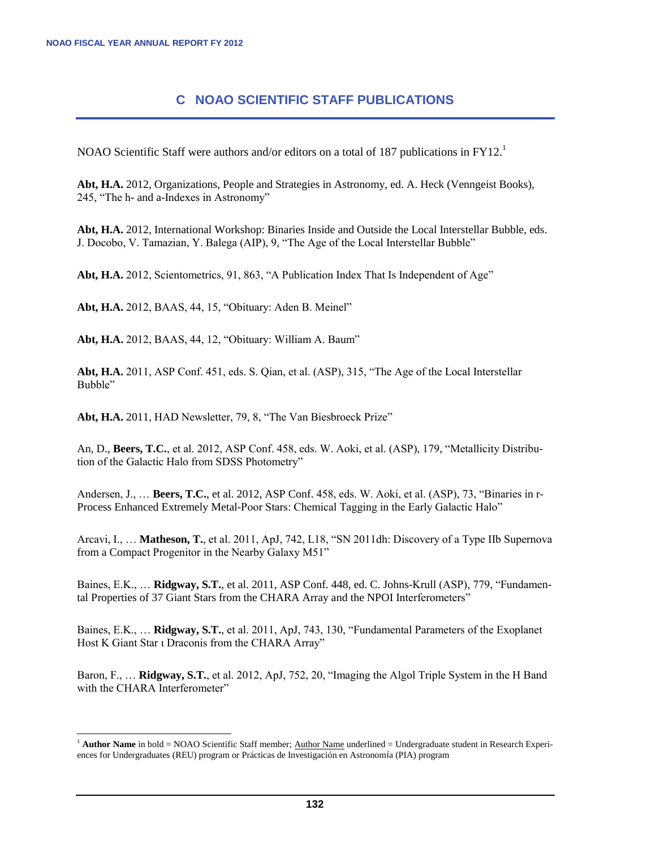l

## **C NOAO SCIENTIFIC STAFF PUBLICATIONS**

NOAO Scientific Staff were authors and/or editors on a total of 187 publications in  $FY12<sup>1</sup>$ 

**Abt, H.A.** 2012, Organizations, People and Strategies in Astronomy, ed. A. Heck (Venngeist Books), 245, "The h- and a-Indexes in Astronomy"

**Abt, H.A.** 2012, International Workshop: Binaries Inside and Outside the Local Interstellar Bubble, eds. J. Docobo, V. Tamazian, Y. Balega (AIP), 9, "The Age of the Local Interstellar Bubble"

**Abt, H.A.** 2012, Scientometrics, 91, 863, "A Publication Index That Is Independent of Age"

**Abt, H.A.** 2012, BAAS, 44, 15, "Obituary: Aden B. Meinel"

**Abt, H.A.** 2012, BAAS, 44, 12, "Obituary: William A. Baum"

**Abt, H.A.** 2011, ASP Conf. 451, eds. S. Qian, et al. (ASP), 315, "The Age of the Local Interstellar Bubble"

**Abt, H.A.** 2011, HAD Newsletter, 79, 8, "The Van Biesbroeck Prize"

An, D., **Beers, T.C.**, et al. 2012, ASP Conf. 458, eds. W. Aoki, et al. (ASP), 179, "Metallicity Distribution of the Galactic Halo from SDSS Photometry"

Andersen, J., … **Beers, T.C.**, et al. 2012, ASP Conf. 458, eds. W. Aoki, et al. (ASP), 73, "Binaries in r-Process Enhanced Extremely Metal-Poor Stars: Chemical Tagging in the Early Galactic Halo"

Arcavi, I., … **Matheson, T.**, et al. 2011, ApJ, 742, L18, "SN 2011dh: Discovery of a Type IIb Supernova from a Compact Progenitor in the Nearby Galaxy M51"

Baines, E.K., … **Ridgway, S.T.**, et al. 2011, ASP Conf. 448, ed. C. Johns-Krull (ASP), 779, "Fundamental Properties of 37 Giant Stars from the CHARA Array and the NPOI Interferometers"

Baines, E.K., … **Ridgway, S.T.**, et al. 2011, ApJ, 743, 130, "Fundamental Parameters of the Exoplanet Host K Giant Star ι Draconis from the CHARA Array"

Baron, F., … **Ridgway, S.T.**, et al. 2012, ApJ, 752, 20, "Imaging the Algol Triple System in the H Band with the CHARA Interferometer"

 $<sup>1</sup>$  **Author Name** in bold = NOAO Scientific Staff member; Author Name underlined = Undergraduate student in Research Experi-</sup> ences for Undergraduates (REU) program or Prácticas de Investigación en Astronomía (PIA) program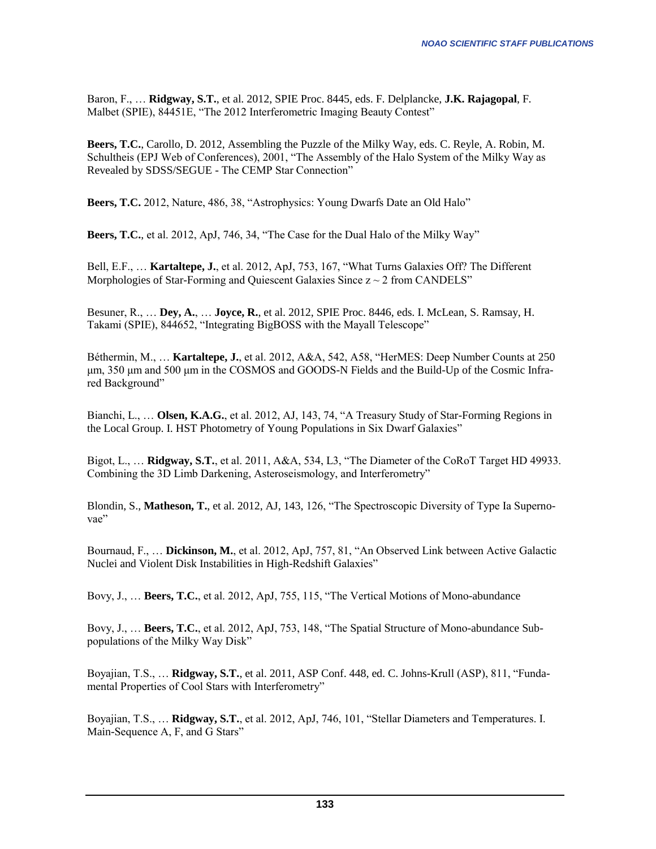Baron, F., … **Ridgway, S.T.**, et al. 2012, SPIE Proc. 8445, eds. F. Delplancke, **J.K. Rajagopal**, F. Malbet (SPIE), 84451E, "The 2012 Interferometric Imaging Beauty Contest"

**Beers, T.C.**, Carollo, D. 2012, Assembling the Puzzle of the Milky Way, eds. C. Reyle, A. Robin, M. Schultheis (EPJ Web of Conferences), 2001, "The Assembly of the Halo System of the Milky Way as Revealed by SDSS/SEGUE - The CEMP Star Connection"

**Beers, T.C.** 2012, Nature, 486, 38, "Astrophysics: Young Dwarfs Date an Old Halo"

**Beers, T.C.**, et al. 2012, ApJ, 746, 34, "The Case for the Dual Halo of the Milky Way"

Bell, E.F., … **Kartaltepe, J.**, et al. 2012, ApJ, 753, 167, "What Turns Galaxies Off? The Different Morphologies of Star-Forming and Quiescent Galaxies Since  $z \sim 2$  from CANDELS"

Besuner, R., … **Dey, A.**, … **Joyce, R.**, et al. 2012, SPIE Proc. 8446, eds. I. McLean, S. Ramsay, H. Takami (SPIE), 844652, "Integrating BigBOSS with the Mayall Telescope"

Béthermin, M., … **Kartaltepe, J.**, et al. 2012, A&A, 542, A58, "HerMES: Deep Number Counts at 250 μm, 350 μm and 500 μm in the COSMOS and GOODS-N Fields and the Build-Up of the Cosmic Infrared Background"

Bianchi, L., … **Olsen, K.A.G.**, et al. 2012, AJ, 143, 74, "A Treasury Study of Star-Forming Regions in the Local Group. I. HST Photometry of Young Populations in Six Dwarf Galaxies"

Bigot, L., … **Ridgway, S.T.**, et al. 2011, A&A, 534, L3, "The Diameter of the CoRoT Target HD 49933. Combining the 3D Limb Darkening, Asteroseismology, and Interferometry"

Blondin, S., **Matheson, T.**, et al. 2012, AJ, 143, 126, "The Spectroscopic Diversity of Type Ia Supernovae"

Bournaud, F., … **Dickinson, M.**, et al. 2012, ApJ, 757, 81, "An Observed Link between Active Galactic Nuclei and Violent Disk Instabilities in High-Redshift Galaxies"

Bovy, J., … **Beers, T.C.**, et al. 2012, ApJ, 755, 115, "The Vertical Motions of Mono-abundance

Bovy, J., … **Beers, T.C.**, et al. 2012, ApJ, 753, 148, "The Spatial Structure of Mono-abundance Subpopulations of the Milky Way Disk"

Boyajian, T.S., … **Ridgway, S.T.**, et al. 2011, ASP Conf. 448, ed. C. Johns-Krull (ASP), 811, "Fundamental Properties of Cool Stars with Interferometry"

Boyajian, T.S., … **Ridgway, S.T.**, et al. 2012, ApJ, 746, 101, "Stellar Diameters and Temperatures. I. Main-Sequence A, F, and G Stars"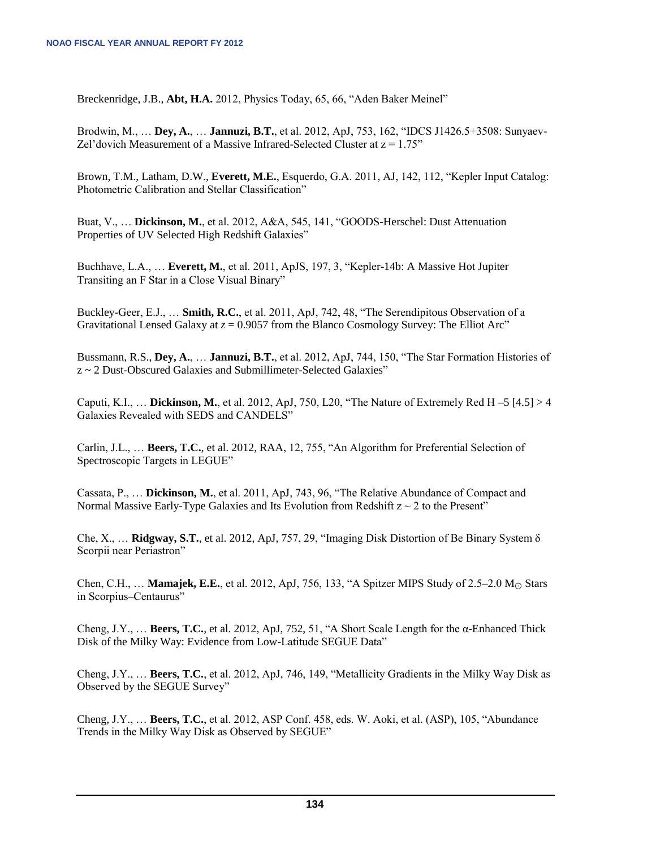Breckenridge, J.B., **Abt, H.A.** 2012, Physics Today, 65, 66, "Aden Baker Meinel"

Brodwin, M., … **Dey, A.**, … **Jannuzi, B.T.**, et al. 2012, ApJ, 753, 162, "IDCS J1426.5+3508: Sunyaev-Zel'dovich Measurement of a Massive Infrared-Selected Cluster at  $z = 1.75$ "

Brown, T.M., Latham, D.W., **Everett, M.E.**, Esquerdo, G.A. 2011, AJ, 142, 112, "Kepler Input Catalog: Photometric Calibration and Stellar Classification"

Buat, V., … **Dickinson, M.**, et al. 2012, A&A, 545, 141, "GOODS-Herschel: Dust Attenuation Properties of UV Selected High Redshift Galaxies"

Buchhave, L.A., … **Everett, M.**, et al. 2011, ApJS, 197, 3, "Kepler-14b: A Massive Hot Jupiter Transiting an F Star in a Close Visual Binary"

Buckley-Geer, E.J., … **Smith, R.C.**, et al. 2011, ApJ, 742, 48, "The Serendipitous Observation of a Gravitational Lensed Galaxy at  $z = 0.9057$  from the Blanco Cosmology Survey: The Elliot Arc"

Bussmann, R.S., **Dey, A.**, … **Jannuzi, B.T.**, et al. 2012, ApJ, 744, 150, "The Star Formation Histories of z ~ 2 Dust-Obscured Galaxies and Submillimeter-Selected Galaxies"

Caputi, K.I., … **Dickinson, M.**, et al. 2012, ApJ, 750, L20, "The Nature of Extremely Red H –5 [4.5] > 4 Galaxies Revealed with SEDS and CANDELS"

Carlin, J.L., … **Beers, T.C.**, et al. 2012, RAA, 12, 755, "An Algorithm for Preferential Selection of Spectroscopic Targets in LEGUE"

Cassata, P., … **Dickinson, M.**, et al. 2011, ApJ, 743, 96, "The Relative Abundance of Compact and Normal Massive Early-Type Galaxies and Its Evolution from Redshift  $z \sim 2$  to the Present"

Che, X., … **Ridgway, S.T.**, et al. 2012, ApJ, 757, 29, "Imaging Disk Distortion of Be Binary System δ Scorpii near Periastron"

Chen, C.H., ... **Mamajek, E.E.**, et al. 2012, ApJ, 756, 133, "A Spitzer MIPS Study of 2.5–2.0 M<sub>☉</sub> Stars in Scorpius–Centaurus"

Cheng, J.Y., … **Beers, T.C.**, et al. 2012, ApJ, 752, 51, "A Short Scale Length for the α-Enhanced Thick Disk of the Milky Way: Evidence from Low-Latitude SEGUE Data"

Cheng, J.Y., … **Beers, T.C.**, et al. 2012, ApJ, 746, 149, "Metallicity Gradients in the Milky Way Disk as Observed by the SEGUE Survey"

Cheng, J.Y., … **Beers, T.C.**, et al. 2012, ASP Conf. 458, eds. W. Aoki, et al. (ASP), 105, "Abundance Trends in the Milky Way Disk as Observed by SEGUE"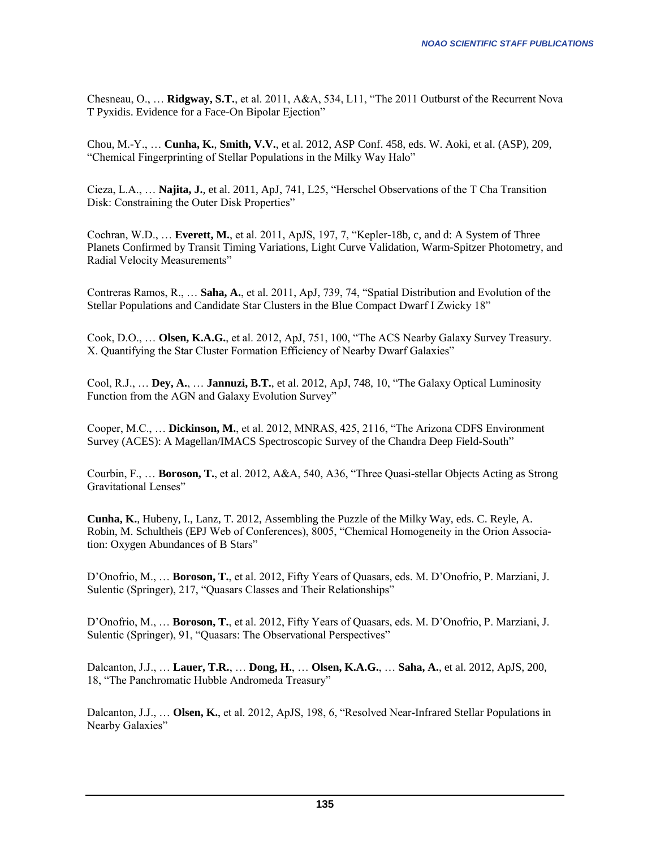Chesneau, O., … **Ridgway, S.T.**, et al. 2011, A&A, 534, L11, "The 2011 Outburst of the Recurrent Nova T Pyxidis. Evidence for a Face-On Bipolar Ejection"

Chou, M.-Y., … **Cunha, K.**, **Smith, V.V.**, et al. 2012, ASP Conf. 458, eds. W. Aoki, et al. (ASP), 209, "Chemical Fingerprinting of Stellar Populations in the Milky Way Halo"

Cieza, L.A., … **Najita, J.**, et al. 2011, ApJ, 741, L25, "Herschel Observations of the T Cha Transition Disk: Constraining the Outer Disk Properties"

Cochran, W.D., … **Everett, M.**, et al. 2011, ApJS, 197, 7, "Kepler-18b, c, and d: A System of Three Planets Confirmed by Transit Timing Variations, Light Curve Validation, Warm-Spitzer Photometry, and Radial Velocity Measurements"

Contreras Ramos, R., … **Saha, A.**, et al. 2011, ApJ, 739, 74, "Spatial Distribution and Evolution of the Stellar Populations and Candidate Star Clusters in the Blue Compact Dwarf I Zwicky 18"

Cook, D.O., … **Olsen, K.A.G.**, et al. 2012, ApJ, 751, 100, "The ACS Nearby Galaxy Survey Treasury. X. Quantifying the Star Cluster Formation Efficiency of Nearby Dwarf Galaxies"

Cool, R.J., … **Dey, A.**, … **Jannuzi, B.T.**, et al. 2012, ApJ, 748, 10, "The Galaxy Optical Luminosity Function from the AGN and Galaxy Evolution Survey"

Cooper, M.C., … **Dickinson, M.**, et al. 2012, MNRAS, 425, 2116, "The Arizona CDFS Environment Survey (ACES): A Magellan/IMACS Spectroscopic Survey of the Chandra Deep Field-South"

Courbin, F., … **Boroson, T.**, et al. 2012, A&A, 540, A36, "Three Quasi-stellar Objects Acting as Strong Gravitational Lenses"

**Cunha, K.**, Hubeny, I., Lanz, T. 2012, Assembling the Puzzle of the Milky Way, eds. C. Reyle, A. Robin, M. Schultheis (EPJ Web of Conferences), 8005, "Chemical Homogeneity in the Orion Association: Oxygen Abundances of B Stars"

D'Onofrio, M., … **Boroson, T.**, et al. 2012, Fifty Years of Quasars, eds. M. D'Onofrio, P. Marziani, J. Sulentic (Springer), 217, "Quasars Classes and Their Relationships"

D'Onofrio, M., … **Boroson, T.**, et al. 2012, Fifty Years of Quasars, eds. M. D'Onofrio, P. Marziani, J. Sulentic (Springer), 91, "Quasars: The Observational Perspectives"

Dalcanton, J.J., … **Lauer, T.R.**, … **Dong, H.**, … **Olsen, K.A.G.**, … **Saha, A.**, et al. 2012, ApJS, 200, 18, "The Panchromatic Hubble Andromeda Treasury"

Dalcanton, J.J., … **Olsen, K.**, et al. 2012, ApJS, 198, 6, "Resolved Near-Infrared Stellar Populations in Nearby Galaxies"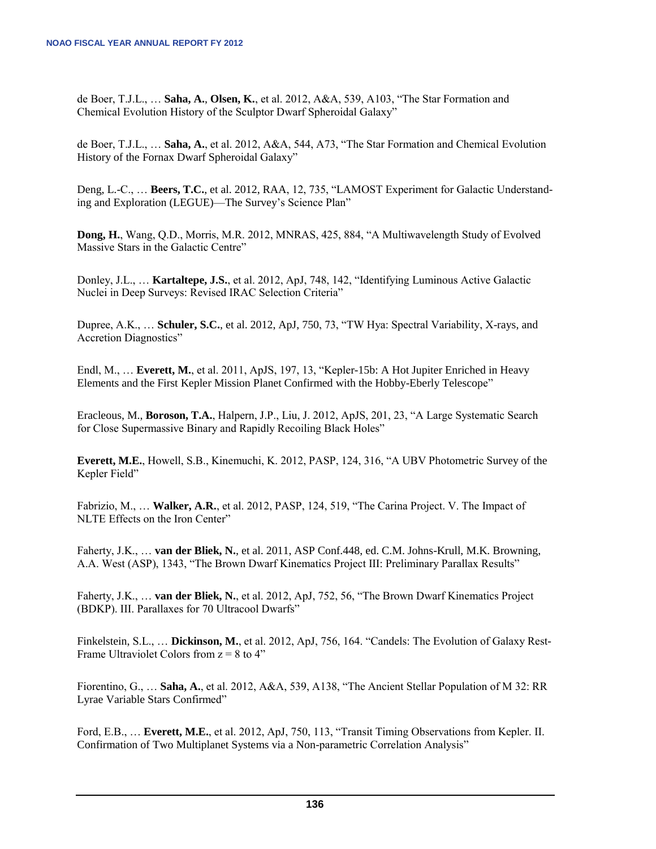de Boer, T.J.L., … **Saha, A.**, **Olsen, K.**, et al. 2012, A&A, 539, A103, "The Star Formation and Chemical Evolution History of the Sculptor Dwarf Spheroidal Galaxy"

de Boer, T.J.L., … **Saha, A.**, et al. 2012, A&A, 544, A73, "The Star Formation and Chemical Evolution History of the Fornax Dwarf Spheroidal Galaxy"

Deng, L.-C., … **Beers, T.C.**, et al. 2012, RAA, 12, 735, "LAMOST Experiment for Galactic Understanding and Exploration (LEGUE)—The Survey's Science Plan"

**Dong, H.**, Wang, Q.D., Morris, M.R. 2012, MNRAS, 425, 884, "A Multiwavelength Study of Evolved Massive Stars in the Galactic Centre"

Donley, J.L., … **Kartaltepe, J.S.**, et al. 2012, ApJ, 748, 142, "Identifying Luminous Active Galactic Nuclei in Deep Surveys: Revised IRAC Selection Criteria"

Dupree, A.K., … **Schuler, S.C.**, et al. 2012, ApJ, 750, 73, "TW Hya: Spectral Variability, X-rays, and Accretion Diagnostics"

Endl, M., … **Everett, M.**, et al. 2011, ApJS, 197, 13, "Kepler-15b: A Hot Jupiter Enriched in Heavy Elements and the First Kepler Mission Planet Confirmed with the Hobby-Eberly Telescope"

Eracleous, M., **Boroson, T.A.**, Halpern, J.P., Liu, J. 2012, ApJS, 201, 23, "A Large Systematic Search for Close Supermassive Binary and Rapidly Recoiling Black Holes"

**Everett, M.E.**, Howell, S.B., Kinemuchi, K. 2012, PASP, 124, 316, "A UBV Photometric Survey of the Kepler Field"

Fabrizio, M., … **Walker, A.R.**, et al. 2012, PASP, 124, 519, "The Carina Project. V. The Impact of NLTE Effects on the Iron Center"

Faherty, J.K., … **van der Bliek, N.**, et al. 2011, ASP Conf.448, ed. C.M. Johns-Krull, M.K. Browning, A.A. West (ASP), 1343, "The Brown Dwarf Kinematics Project III: Preliminary Parallax Results"

Faherty, J.K., … **van der Bliek, N.**, et al. 2012, ApJ, 752, 56, "The Brown Dwarf Kinematics Project (BDKP). III. Parallaxes for 70 Ultracool Dwarfs"

Finkelstein, S.L., … **Dickinson, M.**, et al. 2012, ApJ, 756, 164. "Candels: The Evolution of Galaxy Rest-Frame Ultraviolet Colors from  $z = 8$  to 4"

Fiorentino, G., … **Saha, A.**, et al. 2012, A&A, 539, A138, "The Ancient Stellar Population of M 32: RR Lyrae Variable Stars Confirmed"

Ford, E.B., … **Everett, M.E.**, et al. 2012, ApJ, 750, 113, "Transit Timing Observations from Kepler. II. Confirmation of Two Multiplanet Systems via a Non-parametric Correlation Analysis"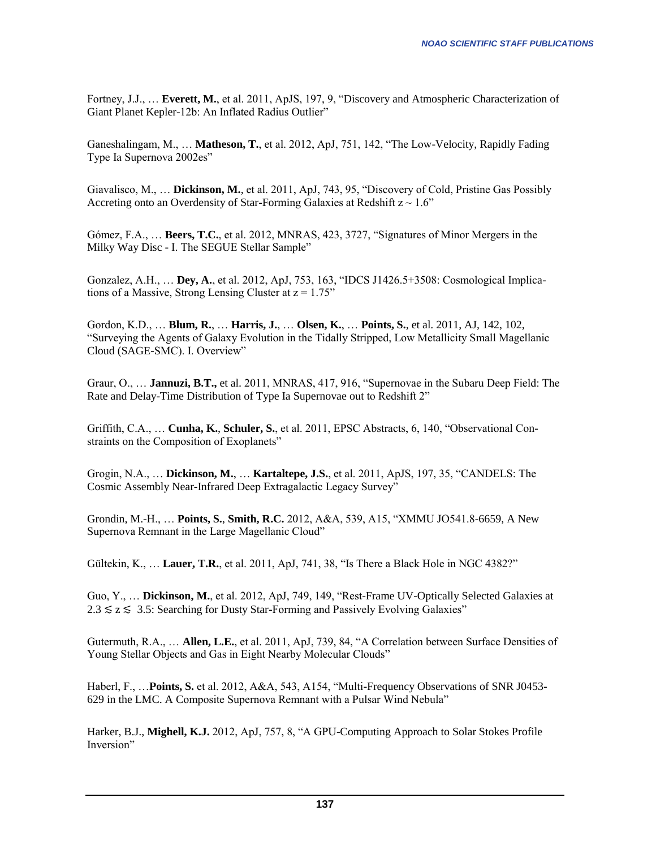Fortney, J.J., … **Everett, M.**, et al. 2011, ApJS, 197, 9, "Discovery and Atmospheric Characterization of Giant Planet Kepler-12b: An Inflated Radius Outlier"

Ganeshalingam, M., … **Matheson, T.**, et al. 2012, ApJ, 751, 142, "The Low-Velocity, Rapidly Fading Type Ia Supernova 2002es"

Giavalisco, M., … **Dickinson, M.**, et al. 2011, ApJ, 743, 95, "Discovery of Cold, Pristine Gas Possibly Accreting onto an Overdensity of Star-Forming Galaxies at Redshift  $z \sim 1.6$ "

Gómez, F.A., … **Beers, T.C.**, et al. 2012, MNRAS, 423, 3727, "Signatures of Minor Mergers in the Milky Way Disc - I. The SEGUE Stellar Sample"

Gonzalez, A.H., … **Dey, A.**, et al. 2012, ApJ, 753, 163, "IDCS J1426.5+3508: Cosmological Implications of a Massive, Strong Lensing Cluster at  $z = 1.75$ "

Gordon, K.D., … **Blum, R.**, … **Harris, J.**, … **Olsen, K.**, … **Points, S.**, et al. 2011, AJ, 142, 102, "Surveying the Agents of Galaxy Evolution in the Tidally Stripped, Low Metallicity Small Magellanic Cloud (SAGE-SMC). I. Overview"

Graur, O., … **Jannuzi, B.T.,** et al. 2011, MNRAS, 417, 916, "Supernovae in the Subaru Deep Field: The Rate and Delay-Time Distribution of Type Ia Supernovae out to Redshift 2"

Griffith, C.A., … **Cunha, K.**, **Schuler, S.**, et al. 2011, EPSC Abstracts, 6, 140, "Observational Constraints on the Composition of Exoplanets"

Grogin, N.A., … **Dickinson, M.**, … **Kartaltepe, J.S.**, et al. 2011, ApJS, 197, 35, "CANDELS: The Cosmic Assembly Near-Infrared Deep Extragalactic Legacy Survey"

Grondin, M.-H., … **Points, S.**, **Smith, R.C.** 2012, A&A, 539, A15, "XMMU JO541.8-6659, A New Supernova Remnant in the Large Magellanic Cloud"

Gültekin, K., … **Lauer, T.R.**, et al. 2011, ApJ, 741, 38, "Is There a Black Hole in NGC 4382?"

Guo, Y., … **Dickinson, M.**, et al. 2012, ApJ, 749, 149, "Rest-Frame UV-Optically Selected Galaxies at  $2.3 \le z \le 3.5$ : Searching for Dusty Star-Forming and Passively Evolving Galaxies"

Gutermuth, R.A., … **Allen, L.E.**, et al. 2011, ApJ, 739, 84, "A Correlation between Surface Densities of Young Stellar Objects and Gas in Eight Nearby Molecular Clouds"

Haberl, F., …**Points, S.** et al. 2012, A&A, 543, A154, "Multi-Frequency Observations of SNR J0453- 629 in the LMC. A Composite Supernova Remnant with a Pulsar Wind Nebula"

Harker, B.J., **Mighell, K.J.** 2012, ApJ, 757, 8, "A GPU-Computing Approach to Solar Stokes Profile Inversion"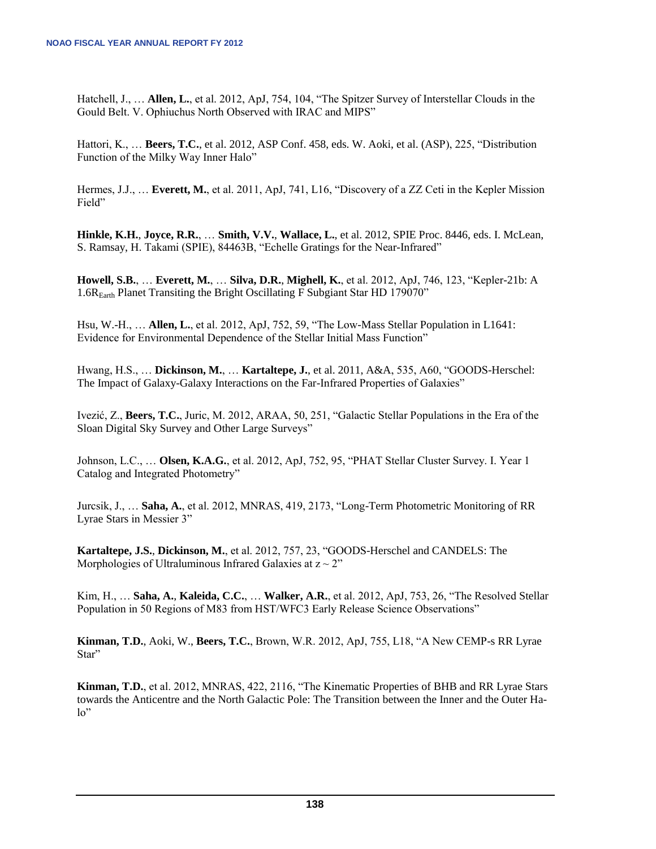Hatchell, J., … **Allen, L.**, et al. 2012, ApJ, 754, 104, "The Spitzer Survey of Interstellar Clouds in the Gould Belt. V. Ophiuchus North Observed with IRAC and MIPS"

Hattori, K., … **Beers, T.C.**, et al. 2012, ASP Conf. 458, eds. W. Aoki, et al. (ASP), 225, "Distribution Function of the Milky Way Inner Halo"

Hermes, J.J., … **Everett, M.**, et al. 2011, ApJ, 741, L16, "Discovery of a ZZ Ceti in the Kepler Mission Field"

**Hinkle, K.H.**, **Joyce, R.R.**, … **Smith, V.V.**, **Wallace, L.**, et al. 2012, SPIE Proc. 8446, eds. I. McLean, S. Ramsay, H. Takami (SPIE), 84463B, "Echelle Gratings for the Near-Infrared"

**Howell, S.B.**, … **Everett, M.**, … **Silva, D.R.**, **Mighell, K.**, et al. 2012, ApJ, 746, 123, "Kepler-21b: A 1.6REarth Planet Transiting the Bright Oscillating F Subgiant Star HD 179070"

Hsu, W.-H., … **Allen, L.**, et al. 2012, ApJ, 752, 59, "The Low-Mass Stellar Population in L1641: Evidence for Environmental Dependence of the Stellar Initial Mass Function"

Hwang, H.S., … **Dickinson, M.**, … **Kartaltepe, J.**, et al. 2011, A&A, 535, A60, "GOODS-Herschel: The Impact of Galaxy-Galaxy Interactions on the Far-Infrared Properties of Galaxies"

Ivezić, Z., **Beers, T.C.**, Juric, M. 2012, ARAA, 50, 251, "Galactic Stellar Populations in the Era of the Sloan Digital Sky Survey and Other Large Surveys"

Johnson, L.C., … **Olsen, K.A.G.**, et al. 2012, ApJ, 752, 95, "PHAT Stellar Cluster Survey. I. Year 1 Catalog and Integrated Photometry"

Jurcsik, J., … **Saha, A.**, et al. 2012, MNRAS, 419, 2173, "Long-Term Photometric Monitoring of RR Lyrae Stars in Messier 3"

**Kartaltepe, J.S.**, **Dickinson, M.**, et al. 2012, 757, 23, "GOODS-Herschel and CANDELS: The Morphologies of Ultraluminous Infrared Galaxies at  $z \sim 2$ "

Kim, H., … **Saha, A.**, **Kaleida, C.C.**, … **Walker, A.R.**, et al. 2012, ApJ, 753, 26, "The Resolved Stellar Population in 50 Regions of M83 from HST/WFC3 Early Release Science Observations"

**Kinman, T.D.**, Aoki, W., **Beers, T.C.**, Brown, W.R. 2012, ApJ, 755, L18, "A New CEMP-s RR Lyrae Star"

**Kinman, T.D.**, et al. 2012, MNRAS, 422, 2116, "The Kinematic Properties of BHB and RR Lyrae Stars towards the Anticentre and the North Galactic Pole: The Transition between the Inner and the Outer Halo"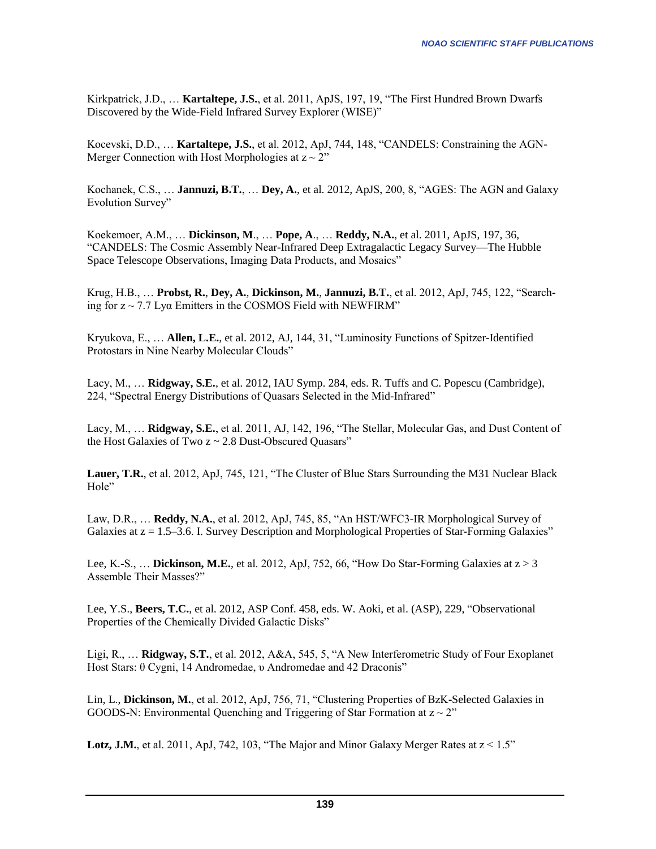Kirkpatrick, J.D., … **Kartaltepe, J.S.**, et al. 2011, ApJS, 197, 19, "The First Hundred Brown Dwarfs Discovered by the Wide-Field Infrared Survey Explorer (WISE)"

Kocevski, D.D., … **Kartaltepe, J.S.**, et al. 2012, ApJ, 744, 148, "CANDELS: Constraining the AGN-Merger Connection with Host Morphologies at  $z \sim 2$ "

Kochanek, C.S., … **Jannuzi, B.T.**, … **Dey, A.**, et al. 2012, ApJS, 200, 8, "AGES: The AGN and Galaxy Evolution Survey"

Koekemoer, A.M., … **Dickinson, M**., … **Pope, A**., … **Reddy, N.A.**, et al. 2011, ApJS, 197, 36, "CANDELS: The Cosmic Assembly Near-Infrared Deep Extragalactic Legacy Survey—The Hubble Space Telescope Observations, Imaging Data Products, and Mosaics"

Krug, H.B., … **Probst, R.**, **Dey, A.**, **Dickinson, M.**, **Jannuzi, B.T.**, et al. 2012, ApJ, 745, 122, "Searching for  $z \sim 7.7$  Lya Emitters in the COSMOS Field with NEWFIRM"

Kryukova, E., … **Allen, L.E.**, et al. 2012, AJ, 144, 31, "Luminosity Functions of Spitzer-Identified Protostars in Nine Nearby Molecular Clouds"

Lacy, M., … **Ridgway, S.E.**, et al. 2012, IAU Symp. 284, eds. R. Tuffs and C. Popescu (Cambridge), 224, "Spectral Energy Distributions of Quasars Selected in the Mid-Infrared"

Lacy, M., … **Ridgway, S.E.**, et al. 2011, AJ, 142, 196, "The Stellar, Molecular Gas, and Dust Content of the Host Galaxies of Two z ~ 2.8 Dust-Obscured Quasars"

**Lauer, T.R.**, et al. 2012, ApJ, 745, 121, "The Cluster of Blue Stars Surrounding the M31 Nuclear Black Hole"

Law, D.R., … **Reddy, N.A.**, et al. 2012, ApJ, 745, 85, "An HST/WFC3-IR Morphological Survey of Galaxies at  $z = 1.5-3.6$ . I. Survey Description and Morphological Properties of Star-Forming Galaxies"

Lee, K.-S., … **Dickinson, M.E.**, et al. 2012, ApJ, 752, 66, "How Do Star-Forming Galaxies at z > 3 Assemble Their Masses?"

Lee, Y.S., **Beers, T.C.**, et al. 2012, ASP Conf. 458, eds. W. Aoki, et al. (ASP), 229, "Observational Properties of the Chemically Divided Galactic Disks"

Ligi, R., … **Ridgway, S.T.**, et al. 2012, A&A, 545, 5, "A New Interferometric Study of Four Exoplanet Host Stars: θ Cygni, 14 Andromedae, υ Andromedae and 42 Draconis"

Lin, L., **Dickinson, M.**, et al. 2012, ApJ, 756, 71, "Clustering Properties of BzK-Selected Galaxies in GOODS-N: Environmental Quenching and Triggering of Star Formation at  $z \sim 2$ "

**Lotz, J.M.**, et al. 2011, ApJ, 742, 103, "The Major and Minor Galaxy Merger Rates at  $z < 1.5$ "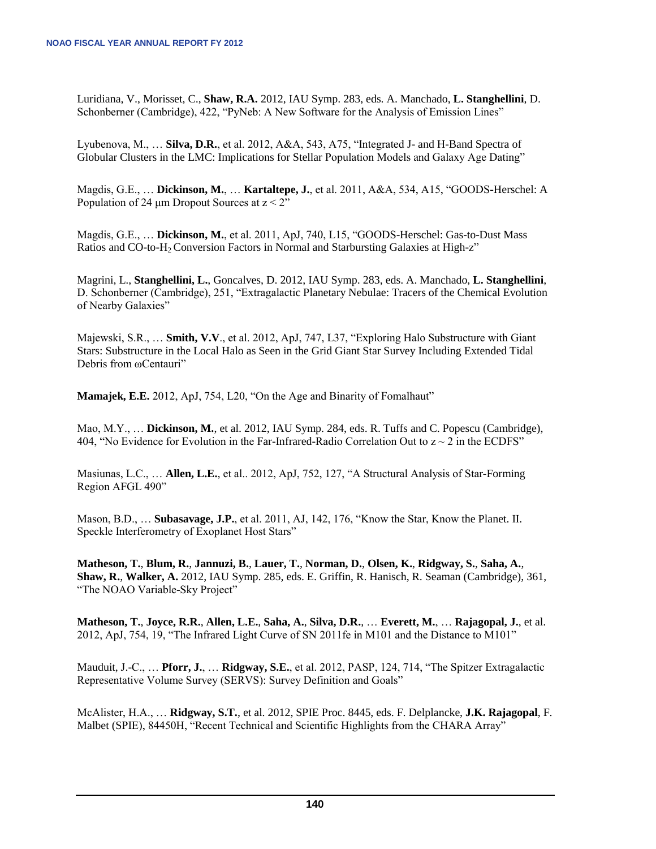Luridiana, V., Morisset, C., **Shaw, R.A.** 2012, IAU Symp. 283, eds. A. Manchado, **L. Stanghellini**, D. Schonberner (Cambridge), 422, "PyNeb: A New Software for the Analysis of Emission Lines"

Lyubenova, M., … **Silva, D.R.**, et al. 2012, A&A, 543, A75, "Integrated J- and H-Band Spectra of Globular Clusters in the LMC: Implications for Stellar Population Models and Galaxy Age Dating"

Magdis, G.E., … **Dickinson, M.**, … **Kartaltepe, J.**, et al. 2011, A&A, 534, A15, "GOODS-Herschel: A Population of 24  $\mu$ m Dropout Sources at  $z < 2$ "

Magdis, G.E., … **Dickinson, M.**, et al. 2011, ApJ, 740, L15, "GOODS-Herschel: Gas-to-Dust Mass Ratios and CO-to-H2 Conversion Factors in Normal and Starbursting Galaxies at High-z"

Magrini, L., **Stanghellini, L.**, Goncalves, D. 2012, IAU Symp. 283, eds. A. Manchado, **L. Stanghellini**, D. Schonberner (Cambridge), 251, "Extragalactic Planetary Nebulae: Tracers of the Chemical Evolution of Nearby Galaxies"

Majewski, S.R., … **Smith, V.V**., et al. 2012, ApJ, 747, L37, "Exploring Halo Substructure with Giant Stars: Substructure in the Local Halo as Seen in the Grid Giant Star Survey Including Extended Tidal Debris from ωCentauri"

**Mamajek, E.E.** 2012, ApJ, 754, L20, "On the Age and Binarity of Fomalhaut"

Mao, M.Y., … **Dickinson, M.**, et al. 2012, IAU Symp. 284, eds. R. Tuffs and C. Popescu (Cambridge), 404, "No Evidence for Evolution in the Far-Infrared-Radio Correlation Out to  $z \sim 2$  in the ECDFS"

Masiunas, L.C., … **Allen, L.E.**, et al.. 2012, ApJ, 752, 127, "A Structural Analysis of Star-Forming Region AFGL 490"

Mason, B.D., … **Subasavage, J.P.**, et al. 2011, AJ, 142, 176, "Know the Star, Know the Planet. II. Speckle Interferometry of Exoplanet Host Stars"

**Matheson, T.**, **Blum, R.**, **Jannuzi, B.**, **Lauer, T.**, **Norman, D.**, **Olsen, K.**, **Ridgway, S.**, **Saha, A.**, **Shaw, R.**, **Walker, A.** 2012, IAU Symp. 285, eds. E. Griffin, R. Hanisch, R. Seaman (Cambridge), 361, "The NOAO Variable-Sky Project"

**Matheson, T.**, **Joyce, R.R.**, **Allen, L.E.**, **Saha, A.**, **Silva, D.R.**, … **Everett, M.**, … **Rajagopal, J.**, et al. 2012, ApJ, 754, 19, "The Infrared Light Curve of SN 2011fe in M101 and the Distance to M101"

Mauduit, J.-C., … **Pforr, J.**, … **Ridgway, S.E.**, et al. 2012, PASP, 124, 714, "The Spitzer Extragalactic Representative Volume Survey (SERVS): Survey Definition and Goals"

McAlister, H.A., … **Ridgway, S.T.**, et al. 2012, SPIE Proc. 8445, eds. F. Delplancke, **J.K. Rajagopal**, F. Malbet (SPIE), 84450H, "Recent Technical and Scientific Highlights from the CHARA Array"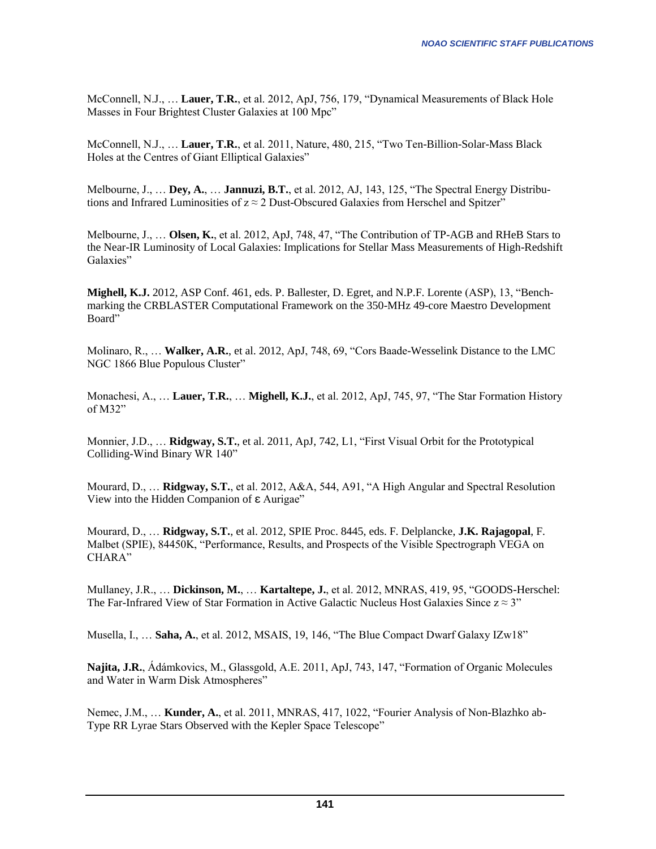McConnell, N.J., … **Lauer, T.R.**, et al. 2012, ApJ, 756, 179, "Dynamical Measurements of Black Hole Masses in Four Brightest Cluster Galaxies at 100 Mpc"

McConnell, N.J., … **Lauer, T.R.**, et al. 2011, Nature, 480, 215, "Two Ten-Billion-Solar-Mass Black Holes at the Centres of Giant Elliptical Galaxies"

Melbourne, J., … **Dey, A.**, … **Jannuzi, B.T.**, et al. 2012, AJ, 143, 125, "The Spectral Energy Distributions and Infrared Luminosities of  $z \approx 2$  Dust-Obscured Galaxies from Herschel and Spitzer"

Melbourne, J., … **Olsen, K.**, et al. 2012, ApJ, 748, 47, "The Contribution of TP-AGB and RHeB Stars to the Near-IR Luminosity of Local Galaxies: Implications for Stellar Mass Measurements of High-Redshift Galaxies"

**Mighell, K.J.** 2012, ASP Conf. 461, eds. P. Ballester, D. Egret, and N.P.F. Lorente (ASP), 13, "Benchmarking the CRBLASTER Computational Framework on the 350-MHz 49-core Maestro Development Board"

Molinaro, R., … **Walker, A.R.**, et al. 2012, ApJ, 748, 69, "Cors Baade-Wesselink Distance to the LMC NGC 1866 Blue Populous Cluster"

Monachesi, A., … **Lauer, T.R.**, … **Mighell, K.J.**, et al. 2012, ApJ, 745, 97, "The Star Formation History of M32"

Monnier, J.D., … **Ridgway, S.T.**, et al. 2011, ApJ, 742, L1, "First Visual Orbit for the Prototypical Colliding-Wind Binary WR 140"

Mourard, D., … **Ridgway, S.T.**, et al. 2012, A&A, 544, A91, "A High Angular and Spectral Resolution View into the Hidden Companion of  $\epsilon$  Aurigae"

Mourard, D., … **Ridgway, S.T.**, et al. 2012, SPIE Proc. 8445, eds. F. Delplancke, **J.K. Rajagopal**, F. Malbet (SPIE), 84450K, "Performance, Results, and Prospects of the Visible Spectrograph VEGA on CHARA"

Mullaney, J.R., … **Dickinson, M.**, … **Kartaltepe, J.**, et al. 2012, MNRAS, 419, 95, "GOODS-Herschel: The Far-Infrared View of Star Formation in Active Galactic Nucleus Host Galaxies Since  $z \approx 3$ "

Musella, I., … **Saha, A.**, et al. 2012, MSAIS, 19, 146, "The Blue Compact Dwarf Galaxy IZw18"

**Najita, J.R.**, Ádámkovics, M., Glassgold, A.E. 2011, ApJ, 743, 147, "Formation of Organic Molecules and Water in Warm Disk Atmospheres"

Nemec, J.M., … **Kunder, A.**, et al. 2011, MNRAS, 417, 1022, "Fourier Analysis of Non-Blazhko ab-Type RR Lyrae Stars Observed with the Kepler Space Telescope"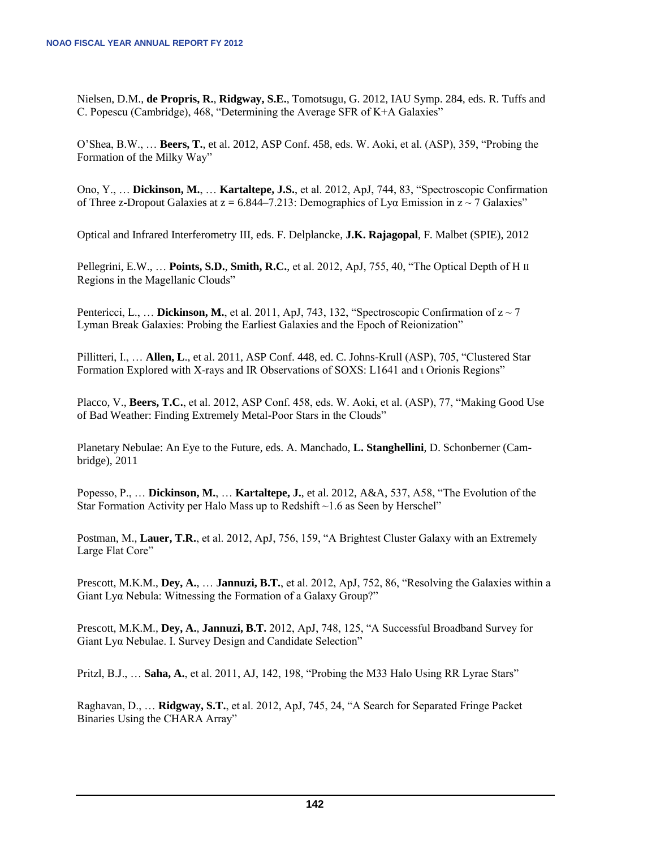Nielsen, D.M., **de Propris, R.**, **Ridgway, S.E.**, Tomotsugu, G. 2012, IAU Symp. 284, eds. R. Tuffs and C. Popescu (Cambridge), 468, "Determining the Average SFR of K+A Galaxies"

O'Shea, B.W., … **Beers, T.**, et al. 2012, ASP Conf. 458, eds. W. Aoki, et al. (ASP), 359, "Probing the Formation of the Milky Way"

Ono, Y., … **Dickinson, M.**, … **Kartaltepe, J.S.**, et al. 2012, ApJ, 744, 83, "Spectroscopic Confirmation of Three z-Dropout Galaxies at  $z = 6.844 - 7.213$ : Demographics of Lya Emission in  $z \sim 7$  Galaxies"

Optical and Infrared Interferometry III, eds. F. Delplancke, **J.K. Rajagopal**, F. Malbet (SPIE), 2012

Pellegrini, E.W., … **Points, S.D.**, **Smith, R.C.**, et al. 2012, ApJ, 755, 40, "The Optical Depth of H II Regions in the Magellanic Clouds"

Pentericci, L., ... **Dickinson, M.**, et al. 2011, ApJ, 743, 132, "Spectroscopic Confirmation of  $z \sim 7$ Lyman Break Galaxies: Probing the Earliest Galaxies and the Epoch of Reionization"

Pillitteri, I., … **Allen, L**., et al. 2011, ASP Conf. 448, ed. C. Johns-Krull (ASP), 705, "Clustered Star Formation Explored with X-rays and IR Observations of SOXS: L1641 and ι Orionis Regions"

Placco, V., **Beers, T.C.**, et al. 2012, ASP Conf. 458, eds. W. Aoki, et al. (ASP), 77, "Making Good Use of Bad Weather: Finding Extremely Metal-Poor Stars in the Clouds"

Planetary Nebulae: An Eye to the Future, eds. A. Manchado, **L. Stanghellini**, D. Schonberner (Cambridge), 2011

Popesso, P., … **Dickinson, M.**, … **Kartaltepe, J.**, et al. 2012, A&A, 537, A58, "The Evolution of the Star Formation Activity per Halo Mass up to Redshift  $\sim$  1.6 as Seen by Herschel"

Postman, M., **Lauer, T.R.**, et al. 2012, ApJ, 756, 159, "A Brightest Cluster Galaxy with an Extremely Large Flat Core"

Prescott, M.K.M., **Dey, A.**, … **Jannuzi, B.T.**, et al. 2012, ApJ, 752, 86, "Resolving the Galaxies within a Giant Lyα Nebula: Witnessing the Formation of a Galaxy Group?"

Prescott, M.K.M., **Dey, A.**, **Jannuzi, B.T.** 2012, ApJ, 748, 125, "A Successful Broadband Survey for Giant Lyα Nebulae. I. Survey Design and Candidate Selection"

Pritzl, B.J., … **Saha, A.**, et al. 2011, AJ, 142, 198, "Probing the M33 Halo Using RR Lyrae Stars"

Raghavan, D., … **Ridgway, S.T.**, et al. 2012, ApJ, 745, 24, "A Search for Separated Fringe Packet Binaries Using the CHARA Array"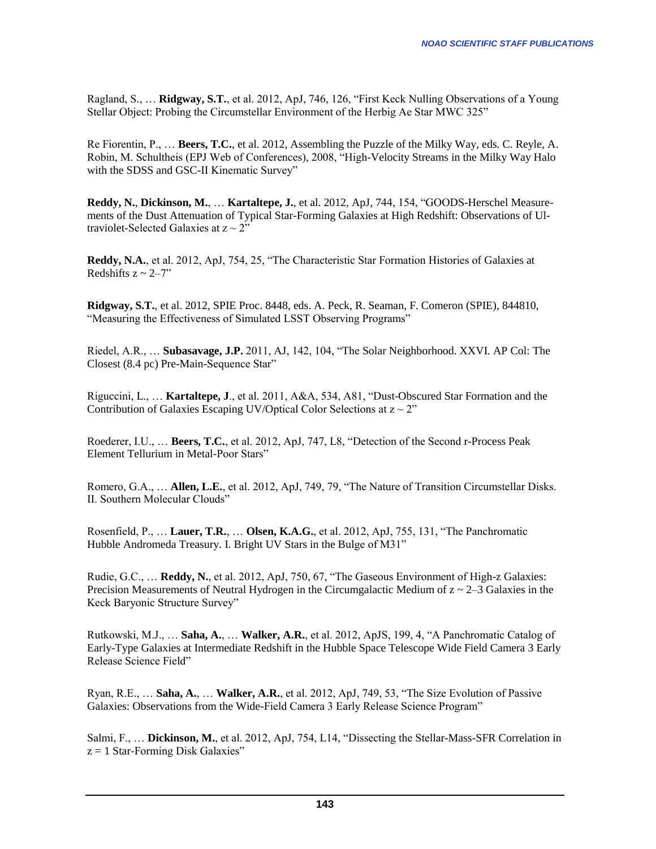Ragland, S., … **Ridgway, S.T.**, et al. 2012, ApJ, 746, 126, "First Keck Nulling Observations of a Young Stellar Object: Probing the Circumstellar Environment of the Herbig Ae Star MWC 325"

Re Fiorentin, P., … **Beers, T.C.**, et al. 2012, Assembling the Puzzle of the Milky Way, eds. C. Reyle, A. Robin, M. Schultheis (EPJ Web of Conferences), 2008, "High-Velocity Streams in the Milky Way Halo with the SDSS and GSC-II Kinematic Survey"

**Reddy, N.**, **Dickinson, M.**, … **Kartaltepe, J.**, et al. 2012, ApJ, 744, 154, "GOODS-Herschel Measurements of the Dust Attenuation of Typical Star-Forming Galaxies at High Redshift: Observations of Ultraviolet-Selected Galaxies at  $z \sim 2$ "

**Reddy, N.A.**, et al. 2012, ApJ, 754, 25, "The Characteristic Star Formation Histories of Galaxies at Redshifts  $z \sim 2 - 7$ "

**Ridgway, S.T.**, et al. 2012, SPIE Proc. 8448, eds. A. Peck, R. Seaman, F. Comeron (SPIE), 844810, "Measuring the Effectiveness of Simulated LSST Observing Programs"

Riedel, A.R., … **Subasavage, J.P.** 2011, AJ, 142, 104, "The Solar Neighborhood. XXVI. AP Col: The Closest (8.4 pc) Pre-Main-Sequence Star"

Riguccini, L., … **Kartaltepe, J**., et al. 2011, A&A, 534, A81, "Dust-Obscured Star Formation and the Contribution of Galaxies Escaping UV/Optical Color Selections at  $z \sim 2$ "

Roederer, I.U., … **Beers, T.C.**, et al. 2012, ApJ, 747, L8, "Detection of the Second r-Process Peak Element Tellurium in Metal-Poor Stars"

Romero, G.A., … **Allen, L.E.**, et al. 2012, ApJ, 749, 79, "The Nature of Transition Circumstellar Disks. II. Southern Molecular Clouds"

Rosenfield, P., … **Lauer, T.R.**, … **Olsen, K.A.G.**, et al. 2012, ApJ, 755, 131, "The Panchromatic Hubble Andromeda Treasury. I. Bright UV Stars in the Bulge of M31"

Rudie, G.C., … **Reddy, N.**, et al. 2012, ApJ, 750, 67, "The Gaseous Environment of High-z Galaxies: Precision Measurements of Neutral Hydrogen in the Circumgalactic Medium of  $z \sim 2-3$  Galaxies in the Keck Baryonic Structure Survey"

Rutkowski, M.J., … **Saha, A.**, … **Walker, A.R.**, et al. 2012, ApJS, 199, 4, "A Panchromatic Catalog of Early-Type Galaxies at Intermediate Redshift in the Hubble Space Telescope Wide Field Camera 3 Early Release Science Field"

Ryan, R.E., … **Saha, A.**, … **Walker, A.R.**, et al. 2012, ApJ, 749, 53, "The Size Evolution of Passive Galaxies: Observations from the Wide-Field Camera 3 Early Release Science Program"

Salmi, F., … **Dickinson, M.**, et al. 2012, ApJ, 754, L14, "Dissecting the Stellar-Mass-SFR Correlation in  $z = 1$  Star-Forming Disk Galaxies"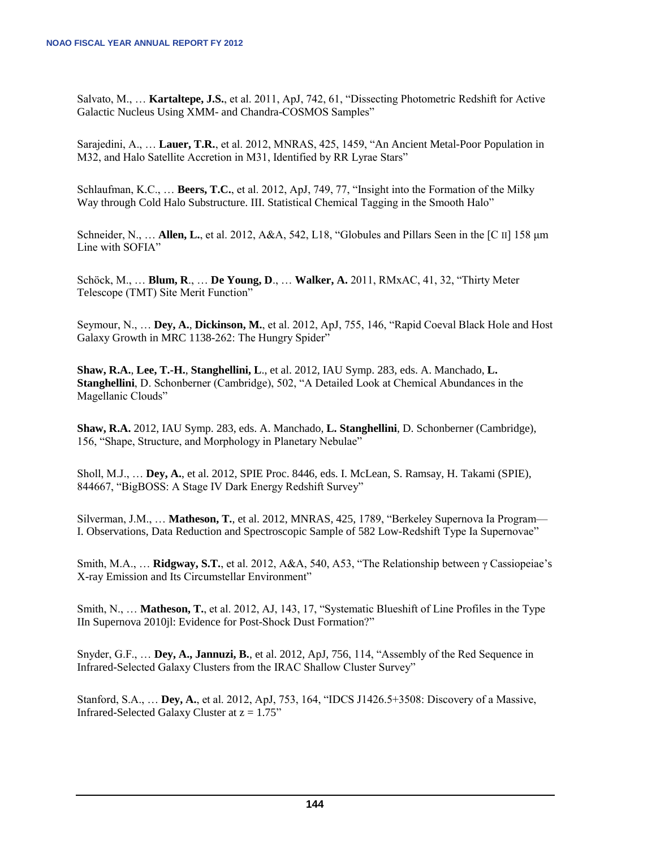Salvato, M., … **Kartaltepe, J.S.**, et al. 2011, ApJ, 742, 61, "Dissecting Photometric Redshift for Active Galactic Nucleus Using XMM- and Chandra-COSMOS Samples"

Sarajedini, A., … **Lauer, T.R.**, et al. 2012, MNRAS, 425, 1459, "An Ancient Metal-Poor Population in M32, and Halo Satellite Accretion in M31, Identified by RR Lyrae Stars"

Schlaufman, K.C., … **Beers, T.C.**, et al. 2012, ApJ, 749, 77, "Insight into the Formation of the Milky Way through Cold Halo Substructure. III. Statistical Chemical Tagging in the Smooth Halo"

Schneider, N., … **Allen, L.**, et al. 2012, A&A, 542, L18, "Globules and Pillars Seen in the [C II] 158 μm Line with SOFIA"

Schöck, M., … **Blum, R**., … **De Young, D**., … **Walker, A.** 2011, RMxAC, 41, 32, "Thirty Meter Telescope (TMT) Site Merit Function"

Seymour, N., … **Dey, A.**, **Dickinson, M.**, et al. 2012, ApJ, 755, 146, "Rapid Coeval Black Hole and Host Galaxy Growth in MRC 1138-262: The Hungry Spider"

**Shaw, R.A.**, **Lee, T.-H.**, **Stanghellini, L**., et al. 2012, IAU Symp. 283, eds. A. Manchado, **L. Stanghellini**, D. Schonberner (Cambridge), 502, "A Detailed Look at Chemical Abundances in the Magellanic Clouds"

**Shaw, R.A.** 2012, IAU Symp. 283, eds. A. Manchado, **L. Stanghellini**, D. Schonberner (Cambridge), 156, "Shape, Structure, and Morphology in Planetary Nebulae"

Sholl, M.J., … **Dey, A.**, et al. 2012, SPIE Proc. 8446, eds. I. McLean, S. Ramsay, H. Takami (SPIE), 844667, "BigBOSS: A Stage IV Dark Energy Redshift Survey"

Silverman, J.M., … **Matheson, T.**, et al. 2012, MNRAS, 425, 1789, "Berkeley Supernova Ia Program— I. Observations, Data Reduction and Spectroscopic Sample of 582 Low-Redshift Type Ia Supernovae"

Smith, M.A., … **Ridgway, S.T.**, et al. 2012, A&A, 540, A53, "The Relationship between γ Cassiopeiae's X-ray Emission and Its Circumstellar Environment"

Smith, N., … **Matheson, T.**, et al. 2012, AJ, 143, 17, "Systematic Blueshift of Line Profiles in the Type IIn Supernova 2010jl: Evidence for Post-Shock Dust Formation?"

Snyder, G.F., … **Dey, A., Jannuzi, B.**, et al. 2012, ApJ, 756, 114, "Assembly of the Red Sequence in Infrared-Selected Galaxy Clusters from the IRAC Shallow Cluster Survey"

Stanford, S.A., … **Dey, A.**, et al. 2012, ApJ, 753, 164, "IDCS J1426.5+3508: Discovery of a Massive, Infrared-Selected Galaxy Cluster at  $z = 1.75$ "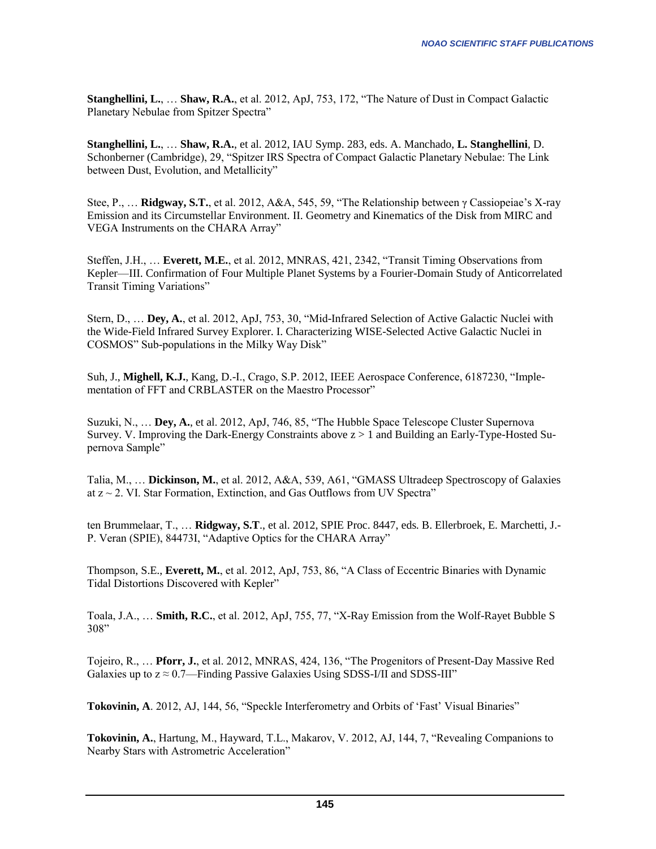**Stanghellini, L.**, … **Shaw, R.A.**, et al. 2012, ApJ, 753, 172, "The Nature of Dust in Compact Galactic Planetary Nebulae from Spitzer Spectra"

**Stanghellini, L.**, … **Shaw, R.A.**, et al. 2012, IAU Symp. 283, eds. A. Manchado, **L. Stanghellini**, D. Schonberner (Cambridge), 29, "Spitzer IRS Spectra of Compact Galactic Planetary Nebulae: The Link between Dust, Evolution, and Metallicity"

Stee, P., … **Ridgway, S.T.**, et al. 2012, A&A, 545, 59, "The Relationship between γ Cassiopeiae's X-ray Emission and its Circumstellar Environment. II. Geometry and Kinematics of the Disk from MIRC and VEGA Instruments on the CHARA Array"

Steffen, J.H., … **Everett, M.E.**, et al. 2012, MNRAS, 421, 2342, "Transit Timing Observations from Kepler—III. Confirmation of Four Multiple Planet Systems by a Fourier-Domain Study of Anticorrelated Transit Timing Variations"

Stern, D., … **Dey, A.**, et al. 2012, ApJ, 753, 30, "Mid-Infrared Selection of Active Galactic Nuclei with the Wide-Field Infrared Survey Explorer. I. Characterizing WISE-Selected Active Galactic Nuclei in COSMOS" Sub-populations in the Milky Way Disk"

Suh, J., **Mighell, K.J.**, Kang, D.-I., Crago, S.P. 2012, IEEE Aerospace Conference, 6187230, "Implementation of FFT and CRBLASTER on the Maestro Processor"

Suzuki, N., … **Dey, A.**, et al. 2012, ApJ, 746, 85, "The Hubble Space Telescope Cluster Supernova Survey. V. Improving the Dark-Energy Constraints above z > 1 and Building an Early-Type-Hosted Supernova Sample"

Talia, M., … **Dickinson, M.**, et al. 2012, A&A, 539, A61, "GMASS Ultradeep Spectroscopy of Galaxies at  $z \sim 2$ . VI. Star Formation, Extinction, and Gas Outflows from UV Spectra"

ten Brummelaar, T., … **Ridgway, S.T**., et al. 2012, SPIE Proc. 8447, eds. B. Ellerbroek, E. Marchetti, J.- P. Veran (SPIE), 84473I, "Adaptive Optics for the CHARA Array"

Thompson, S.E., **Everett, M.**, et al. 2012, ApJ, 753, 86, "A Class of Eccentric Binaries with Dynamic Tidal Distortions Discovered with Kepler"

Toala, J.A., … **Smith, R.C.**, et al. 2012, ApJ, 755, 77, "X-Ray Emission from the Wolf-Rayet Bubble S 308"

Tojeiro, R., … **Pforr, J.**, et al. 2012, MNRAS, 424, 136, "The Progenitors of Present-Day Massive Red Galaxies up to  $z \approx 0.7$ —Finding Passive Galaxies Using SDSS-I/II and SDSS-III"

**Tokovinin, A**. 2012, AJ, 144, 56, "Speckle Interferometry and Orbits of 'Fast' Visual Binaries"

**Tokovinin, A.**, Hartung, M., Hayward, T.L., Makarov, V. 2012, AJ, 144, 7, "Revealing Companions to Nearby Stars with Astrometric Acceleration"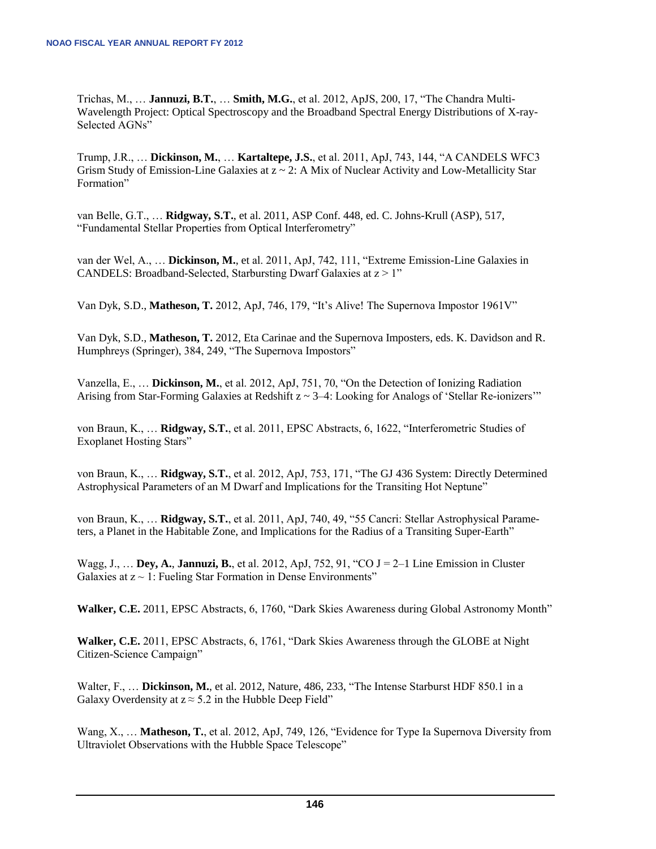Trichas, M., … **Jannuzi, B.T.**, … **Smith, M.G.**, et al. 2012, ApJS, 200, 17, "The Chandra Multi-Wavelength Project: Optical Spectroscopy and the Broadband Spectral Energy Distributions of X-ray-Selected AGNs"

Trump, J.R., … **Dickinson, M.**, … **Kartaltepe, J.S.**, et al. 2011, ApJ, 743, 144, "A CANDELS WFC3 Grism Study of Emission-Line Galaxies at  $z \sim 2$ : A Mix of Nuclear Activity and Low-Metallicity Star Formation"

van Belle, G.T., … **Ridgway, S.T.**, et al. 2011, ASP Conf. 448, ed. C. Johns-Krull (ASP), 517, "Fundamental Stellar Properties from Optical Interferometry"

van der Wel, A., … **Dickinson, M.**, et al. 2011, ApJ, 742, 111, "Extreme Emission-Line Galaxies in CANDELS: Broadband-Selected, Starbursting Dwarf Galaxies at  $z > 1$ "

Van Dyk, S.D., **Matheson, T.** 2012, ApJ, 746, 179, "It's Alive! The Supernova Impostor 1961V"

Van Dyk, S.D., **Matheson, T.** 2012, Eta Carinae and the Supernova Imposters, eds. K. Davidson and R. Humphreys (Springer), 384, 249, "The Supernova Impostors"

Vanzella, E., … **Dickinson, M.**, et al. 2012, ApJ, 751, 70, "On the Detection of Ionizing Radiation Arising from Star-Forming Galaxies at Redshift  $z \sim 3-4$ : Looking for Analogs of 'Stellar Re-ionizers'"

von Braun, K., … **Ridgway, S.T.**, et al. 2011, EPSC Abstracts, 6, 1622, "Interferometric Studies of Exoplanet Hosting Stars"

von Braun, K., … **Ridgway, S.T.**, et al. 2012, ApJ, 753, 171, "The GJ 436 System: Directly Determined Astrophysical Parameters of an M Dwarf and Implications for the Transiting Hot Neptune"

von Braun, K., … **Ridgway, S.T.**, et al. 2011, ApJ, 740, 49, "55 Cancri: Stellar Astrophysical Parameters, a Planet in the Habitable Zone, and Implications for the Radius of a Transiting Super-Earth"

Wagg, J., … **Dey, A.**, **Jannuzi, B.**, et al. 2012, ApJ, 752, 91, "CO J = 2–1 Line Emission in Cluster Galaxies at  $z \sim 1$ : Fueling Star Formation in Dense Environments"

**Walker, C.E.** 2011, EPSC Abstracts, 6, 1760, "Dark Skies Awareness during Global Astronomy Month"

**Walker, C.E.** 2011, EPSC Abstracts, 6, 1761, "Dark Skies Awareness through the GLOBE at Night Citizen-Science Campaign"

Walter, F., … **Dickinson, M.**, et al. 2012, Nature, 486, 233, "The Intense Starburst HDF 850.1 in a Galaxy Overdensity at  $z \approx 5.2$  in the Hubble Deep Field"

Wang, X., … **Matheson, T.**, et al. 2012, ApJ, 749, 126, "Evidence for Type Ia Supernova Diversity from Ultraviolet Observations with the Hubble Space Telescope"